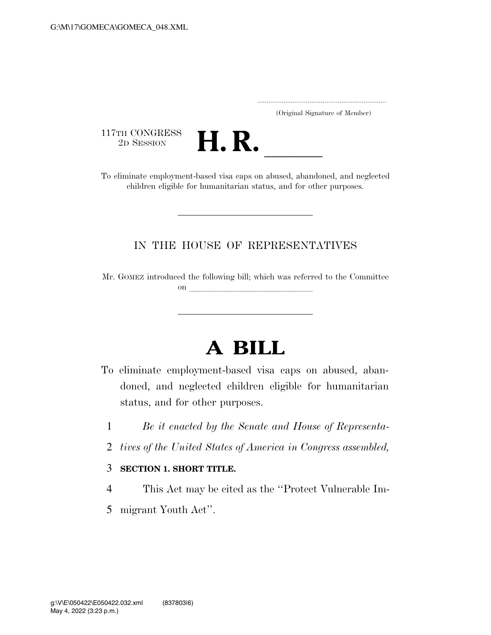..................................................................... (Original Signature of Member)

117TH CONGRESS<br>2D SESSION



117TH CONGRESS<br>
2D SESSION<br>
To eliminate employment-based visa caps on abused, abandoned, and neglected children eligible for humanitarian status, and for other purposes.

## IN THE HOUSE OF REPRESENTATIVES

Mr. GOMEZ introduced the following bill; which was referred to the Committee on llet us a set of the set of the set of the set of the set of the set of the set of the set of the set of the set of the set of the set of the set of the set of the set of the set of the set of the set of the set of the

## **A BILL**

- To eliminate employment-based visa caps on abused, abandoned, and neglected children eligible for humanitarian status, and for other purposes.
	- 1 *Be it enacted by the Senate and House of Representa-*
	- 2 *tives of the United States of America in Congress assembled,*

## 3 **SECTION 1. SHORT TITLE.**

- 4 This Act may be cited as the ''Protect Vulnerable Im-
- 5 migrant Youth Act''.